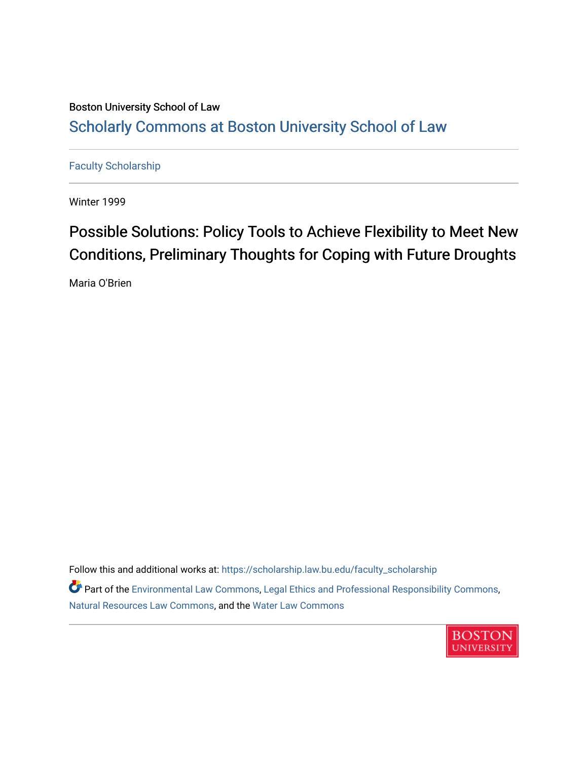## Boston University School of Law [Scholarly Commons at Boston University School of Law](https://scholarship.law.bu.edu/)

[Faculty Scholarship](https://scholarship.law.bu.edu/faculty_scholarship)

Winter 1999

## Possible Solutions: Policy Tools to Achieve Flexibility to Meet New Conditions, Preliminary Thoughts for Coping with Future Droughts

Maria O'Brien

Follow this and additional works at: [https://scholarship.law.bu.edu/faculty\\_scholarship](https://scholarship.law.bu.edu/faculty_scholarship?utm_source=scholarship.law.bu.edu%2Ffaculty_scholarship%2F2126&utm_medium=PDF&utm_campaign=PDFCoverPages)

Part of the [Environmental Law Commons](https://network.bepress.com/hgg/discipline/599?utm_source=scholarship.law.bu.edu%2Ffaculty_scholarship%2F2126&utm_medium=PDF&utm_campaign=PDFCoverPages), [Legal Ethics and Professional Responsibility Commons,](https://network.bepress.com/hgg/discipline/895?utm_source=scholarship.law.bu.edu%2Ffaculty_scholarship%2F2126&utm_medium=PDF&utm_campaign=PDFCoverPages) [Natural Resources Law Commons](https://network.bepress.com/hgg/discipline/863?utm_source=scholarship.law.bu.edu%2Ffaculty_scholarship%2F2126&utm_medium=PDF&utm_campaign=PDFCoverPages), and the [Water Law Commons](https://network.bepress.com/hgg/discipline/887?utm_source=scholarship.law.bu.edu%2Ffaculty_scholarship%2F2126&utm_medium=PDF&utm_campaign=PDFCoverPages) 

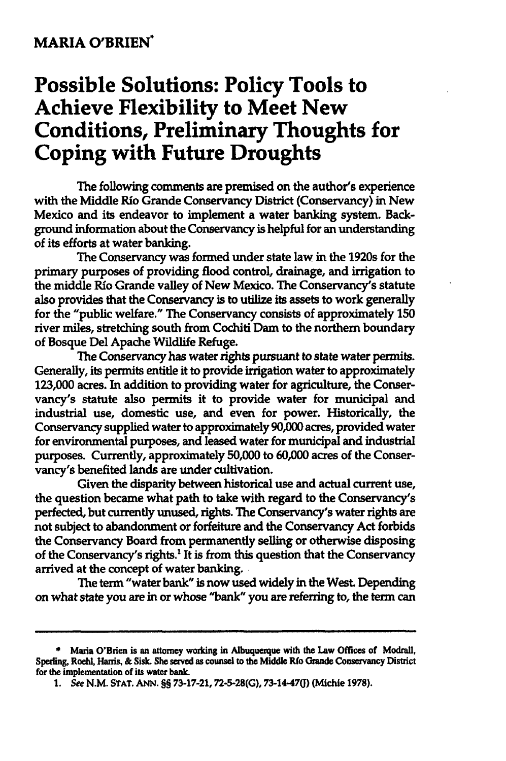## **MARIA O'BRIEN"**

## **Possible Solutions: Policy Tools to Achieve Flexibility to Meet New Conditions, Preliminary Thoughts for Coping with Future Droughts**

The following comments are premised on the author's experience with the Middle Rio Grande Conservancy District (Conservancy) in New Mexico and its endeavor to implement a water banking system. Background information about the Conservancy is helpful for an understanding of its efforts at water banking.

The Conservancy was formed under state law in the 1920s for the primary purposes of providing flood control, drainage, and irrigation to the middle Rio Grande valley of New Mexico. The Conservancy's statute also provides that the Conservancy is to utilize its assets to work generally for the "public welfare." The Conservancy consists of approximately **150** river miles, stretching south from Cochiti Dam to the northern boundary of Bosque Del Apache Wildlife Refuge.

The Conservancy has water rights pursuant to state water permits. Generally, its permits entitle it to provide irrigation water to approximately **123,000** acres. In addition to providing water for agriculture, the Conservancy's statute also permits it to provide water for municipal and industrial use, domestic use, and even for power. Historically, the Conservancy supplied water to approximately **90,000** acres, provided water for environmental purposes, and leased water for municipal and industrial purposes. Currently, approximately **50,000** to **60,000** acres of the Conservancy's benefited lands are under cultivation.

Given the disparity between historical use and actual current use, the question became what path to take with regard to the Conservancy's perfected, but currently unused, rights. The Conservancy's water rights are not subject to abandonment or forfeiture and the Conservancy Act forbids the Conservancy Board from permanently selling or otherwise disposing of the Conservancy's rights.' It is from this question that the Conservancy arrived at the concept of water banking. **.**

The term "water bank" is now used widely in the West. Depending on what state you are in or whose "bank" you are referring to, the term can

**<sup>\*</sup>** Maria O'Brien is an attorney working in Albuquerque with the Law Offices of Modrall, Speding, Roeh, Hanis, **&** Sisk. **She** served as counsel to the **Middle Rio** Grande Conservancy District for the implementation of its water bank.

*<sup>1.</sup>* See **N.M. STAT. ANN. §§ 73-17-21, 72-5-28(G),** 73-14-47(j) (Michie **1978).**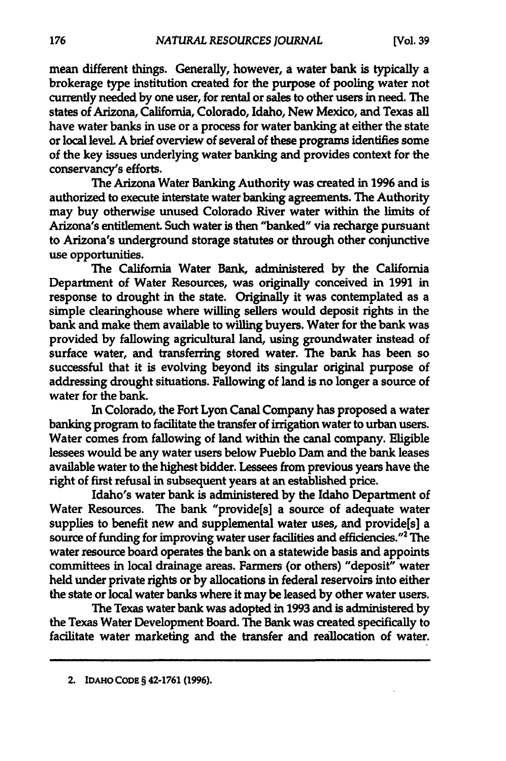mean different things. Generally, however, a water bank is typically a brokerage type institution created for the purpose of pooling water not currently needed **by** one user, for rental or sales to other users in need. The states of Arizona, California, Colorado, Idaho, New Mexico, and Texas all have water banks in use or a process for water banking at either the state or local level. **A** brief overview of several of these programs identifies some of the key issues underlying water banking and provides context for the conservancy's efforts.

The Arizona Water Banking Authority was created in **1996** and is authorized to execute interstate water banking agreements. The Authority may buy otherwise unused Colorado River water within the limits of Arizona's entitlement. Such water is then "banked" via recharge pursuant to Arizona's underground storage statutes or through other conjunctive use opportunities.

The California Water Bank, administered **by** the California Department of Water Resources, was originally conceived in **1991** in response to drought in the state. Originally it was contemplated as a simple clearinghouse where willing sellers would deposit rights in the bank and make them available to willing buyers. Water for the bank was provided **by** fallowing agricultural land, using groundwater instead of surface water, and transferring stored water. The bank has been so successful that it is evolving beyond its singular original purpose of addressing drought situations. Fallowing of land is no longer a source of water for the bank.

In Colorado, the Fort Lyon Canal Company has proposed a water banking program to facilitate the transfer of irrigation water to urban users. Water comes from fallowing of land within the canal company. Eligible lessees would be any water users below Pueblo Dam and the bank leases available water to the highest bidder. Lessees from previous years have the right of first refusal in subsequent years at an established price.

Idaho's water bank is administered **by** the Idaho Department of Water Resources. The bank "provide[s] a source of adequate water supplies to benefit new and supplemental water uses, and provide[s] a source of funding for improving water user facilities and efficiencies."2 The water resource board operates the bank on a statewide basis and appoints committees in local drainage areas. Farmers (or others) "deposit" water held under private rights or **by** allocations in federal reservoirs into either the state or local water banks where it may be leased **by** other water users.

The Texas water bank was adopted in **1993** and is administered **by** the Texas Water Development Board. The Bank was created specifically to facilitate water marketing and the transfer and reallocation of water.

<sup>2.</sup> **IDAHO** CoDE § 42-1761 **(1996).**